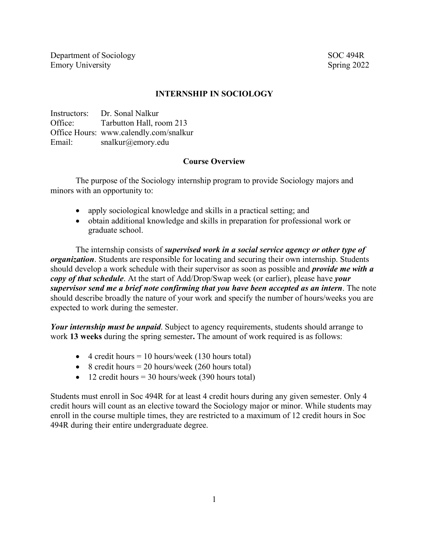Department of Sociology SOC 494R Emory University Spring 2022

## **INTERNSHIP IN SOCIOLOGY**

Instructors: Dr. Sonal Nalkur Office: Tarbutton Hall, room 213 Office Hours: www.calendly.com/snalkur Email: snalkur@emory.edu

### **Course Overview**

The purpose of the Sociology internship program to provide Sociology majors and minors with an opportunity to:

- apply sociological knowledge and skills in a practical setting; and
- obtain additional knowledge and skills in preparation for professional work or graduate school.

The internship consists of *supervised work in a social service agency or other type of organization*. Students are responsible for locating and securing their own internship. Students should develop a work schedule with their supervisor as soon as possible and *provide me with a copy of that schedule*. At the start of Add/Drop/Swap week (or earlier), please have *your supervisor send me a brief note confirming that you have been accepted as an intern*. The note should describe broadly the nature of your work and specify the number of hours/weeks you are expected to work during the semester.

*Your internship must be unpaid*. Subject to agency requirements, students should arrange to work **13 weeks** during the spring semester**.** The amount of work required is as follows:

- 4 credit hours  $= 10$  hours/week (130 hours total)
- 8 credit hours  $= 20$  hours/week (260 hours total)
- 12 credit hours  $=$  30 hours/week (390 hours total)

Students must enroll in Soc 494R for at least 4 credit hours during any given semester. Only 4 credit hours will count as an elective toward the Sociology major or minor. While students may enroll in the course multiple times, they are restricted to a maximum of 12 credit hours in Soc 494R during their entire undergraduate degree.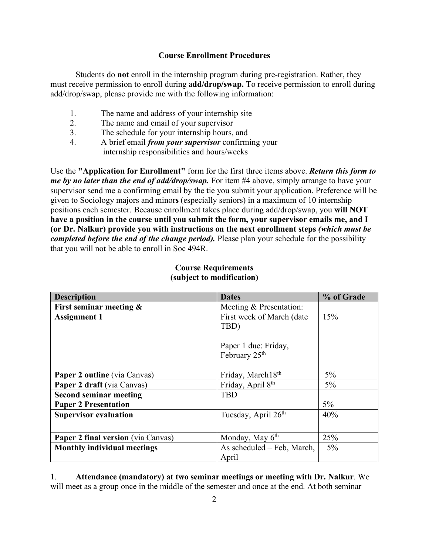## **Course Enrollment Procedures**

Students do **not** enroll in the internship program during pre-registration. Rather, they must receive permission to enroll during a**dd/drop/swap.** To receive permission to enroll during add/drop/swap, please provide me with the following information:

- 1. The name and address of your internship site
- 2. The name and email of your supervisor
- 3. The schedule for your internship hours, and
- 4. A brief email *from your supervisor* confirming your internship responsibilities and hours/weeks

Use the **"Application for Enrollment"** form for the first three items above. *Return this form to me by no later than the end of add/drop/swap*. For item #4 above, simply arrange to have your supervisor send me a confirming email by the tie you submit your application. Preference will be given to Sociology majors and minor**s** (especially seniors) in a maximum of 10 internship positions each semester. Because enrollment takes place during add/drop/swap, you **will NOT have a position in the course until you submit the form, your supervisor emails me, and I (or Dr. Nalkur) provide you with instructions on the next enrollment steps** *(which must be completed before the end of the change period*). Please plan your schedule for the possibility that you will not be able to enroll in Soc 494R.

| <b>Description</b>                        | <b>Dates</b>                  | % of Grade |
|-------------------------------------------|-------------------------------|------------|
| First seminar meeting &                   | Meeting & Presentation:       |            |
| <b>Assignment 1</b>                       | First week of March (date     | 15%        |
|                                           | TBD)                          |            |
|                                           |                               |            |
|                                           | Paper 1 due: Friday,          |            |
|                                           | February 25 <sup>th</sup>     |            |
|                                           |                               |            |
| <b>Paper 2 outline</b> (via Canvas)       | Friday, March18th             | $5\%$      |
| Paper 2 draft (via Canvas)                | Friday, April 8 <sup>th</sup> | $5\%$      |
| <b>Second seminar meeting</b>             | <b>TBD</b>                    |            |
| <b>Paper 2 Presentation</b>               |                               | $5\%$      |
| <b>Supervisor evaluation</b>              | Tuesday, April 26th           | 40%        |
|                                           |                               |            |
| <b>Paper 2 final version</b> (via Canvas) | Monday, May $6th$             | 25%        |
| <b>Monthly individual meetings</b>        | As scheduled – Feb, March,    | $5\%$      |
|                                           | April                         |            |

### **Course Requirements (subject to modification)**

1. **Attendance (mandatory) at two seminar meetings or meeting with Dr. Nalkur**. We will meet as a group once in the middle of the semester and once at the end. At both seminar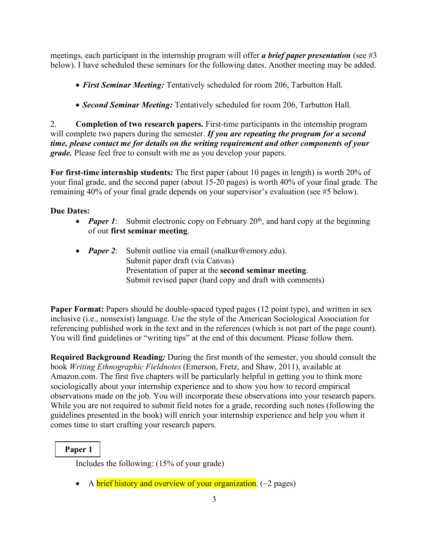meetings, each participant in the internship program will offer *a brief paper presentation* (see #3 below). I have scheduled these seminars for the following dates. Another meeting may be added.

- *First Seminar Meeting:* Tentatively scheduled for room 206, Tarbutton Hall.
- *Second Seminar Meeting:* Tentatively scheduled for room 206, Tarbutton Hall.

2. **Completion of two research papers.** First-time participants in the internship program will complete two papers during the semester. *If you are repeating the program for a second time, please contact me for details on the writing requirement and other components of your grade.* Please feel free to consult with me as you develop your papers.

**For first-time internship students:** The first paper (about 10 pages in length) is worth 20% of your final grade, and the second paper (about 15-20 pages) is worth 40% of your final grade. The remaining 40% of your final grade depends on your supervisor's evaluation (see #5 below).

## **Due Dates:**

- *Paper 1*: Submit electronic copy on February  $20<sup>th</sup>$ , and hard copy at the beginning of our **first seminar meeting**.
- *Paper 2*: Submit outline via email (snalkur@emory.edu). Submit paper draft (via Canvas) Presentation of paper at the **second seminar meeting**. Submit revised paper (hard copy and draft with comments)

**Paper Format:** Papers should be double-spaced typed pages (12 point type), and written in sex inclusive (i.e., nonsexist) language. Use the style of the American Sociological Association for referencing published work in the text and in the references (which is not part of the page count). You will find guidelines or "writing tips" at the end of this document. Please follow them.

**Required Background Reading***:* During the first month of the semester, you should consult the book *Writing Ethnographic Fieldnotes* (Emerson, Fretz, and Shaw, 2011), available at Amazon.com. The first five chapters will be particularly helpful in getting you to think more sociologically about your internship experience and to show you how to record empirical observations made on the job. You will incorporate these observations into your research papers. While you are not required to submit field notes for a grade, recording such notes (following the guidelines presented in the book) will enrich your internship experience and help you when it comes time to start crafting your research papers.

# **Paper 1**

Includes the following: (15% of your grade)

• A brief history and overview of your organization.  $(\sim 2 \text{ pages})$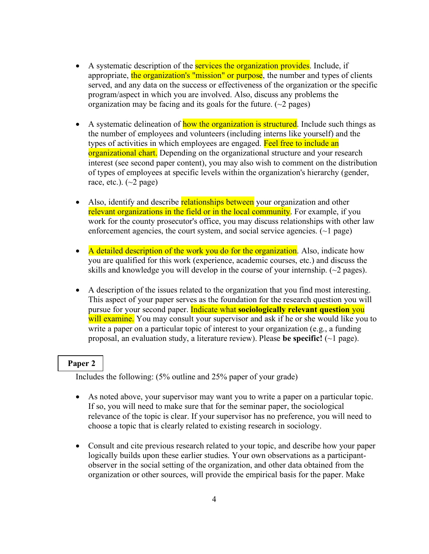- A systematic description of the **services the organization provides**. Include, if appropriate, the organization's "mission" or purpose, the number and types of clients served, and any data on the success or effectiveness of the organization or the specific program/aspect in which you are involved. Also, discuss any problems the organization may be facing and its goals for the future.  $(\sim 2$  pages)
- A systematic delineation of how the organization is structured. Include such things as the number of employees and volunteers (including interns like yourself) and the types of activities in which employees are engaged. Feel free to include an organizational chart. Depending on the organizational structure and your research interest (see second paper content), you may also wish to comment on the distribution of types of employees at specific levels within the organization's hierarchy (gender, race, etc.).  $(\sim 2 \text{ page})$
- Also, identify and describe relationships between your organization and other relevant organizations in the field or in the local community. For example, if you work for the county prosecutor's office, you may discuss relationships with other law enforcement agencies, the court system, and social service agencies.  $(\sim)$  page)
- A detailed description of the work you do for the organization. Also, indicate how you are qualified for this work (experience, academic courses, etc.) and discuss the skills and knowledge you will develop in the course of your internship. (~2 pages).
- A description of the issues related to the organization that you find most interesting. This aspect of your paper serves as the foundation for the research question you will pursue for your second paper. Indicate what **sociologically relevant question** you will examine. You may consult your supervisor and ask if he or she would like you to write a paper on a particular topic of interest to your organization (e.g., a funding proposal, an evaluation study, a literature review). Please **be specific!** (~1 page).

#### **Paper 2**

Includes the following: (5% outline and 25% paper of your grade)

- As noted above, your supervisor may want you to write a paper on a particular topic. If so, you will need to make sure that for the seminar paper, the sociological relevance of the topic is clear. If your supervisor has no preference, you will need to choose a topic that is clearly related to existing research in sociology.
- Consult and cite previous research related to your topic, and describe how your paper logically builds upon these earlier studies. Your own observations as a participantobserver in the social setting of the organization, and other data obtained from the organization or other sources, will provide the empirical basis for the paper. Make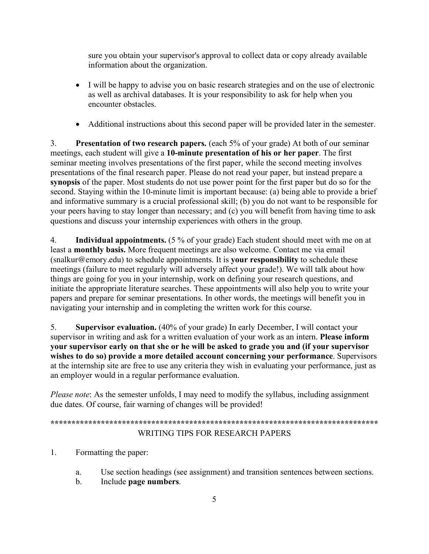sure you obtain your supervisor's approval to collect data or copy already available information about the organization.

- I will be happy to advise you on basic research strategies and on the use of electronic as well as archival databases. It is your responsibility to ask for help when you encounter obstacles.
- Additional instructions about this second paper will be provided later in the semester.

3. **Presentation of two research papers.** (each 5% of your grade) At both of our seminar meetings, each student will give a **10-minute presentation of his or her paper**. The first seminar meeting involves presentations of the first paper, while the second meeting involves presentations of the final research paper. Please do not read your paper, but instead prepare a **synopsis** of the paper. Most students do not use power point for the first paper but do so for the second. Staying within the 10-minute limit is important because: (a) being able to provide a brief and informative summary is a crucial professional skill; (b) you do not want to be responsible for your peers having to stay longer than necessary; and (c) you will benefit from having time to ask questions and discuss your internship experiences with others in the group.

4. **Individual appointments.** (5 % of your grade) Each student should meet with me on at least a **monthly basis.** More frequent meetings are also welcome. Contact me via email (snalkur@emory.edu) to schedule appointments. It is **your responsibility** to schedule these meetings (failure to meet regularly will adversely affect your grade!). We will talk about how things are going for you in your internship, work on defining your research questions, and initiate the appropriate literature searches. These appointments will also help you to write your papers and prepare for seminar presentations. In other words, the meetings will benefit you in navigating your internship and in completing the written work for this course.

5. **Supervisor evaluation.** (40% of your grade) In early December, I will contact your supervisor in writing and ask for a written evaluation of your work as an intern. **Please inform your supervisor early on that she or he will be asked to grade you and (if your supervisor wishes to do so) provide a more detailed account concerning your performance**. Supervisors at the internship site are free to use any criteria they wish in evaluating your performance, just as an employer would in a regular performance evaluation.

*Please note*: As the semester unfolds, I may need to modify the syllabus, including assignment due dates. Of course, fair warning of changes will be provided!

```
******************************************************************************
        WRITING TIPS FOR RESEARCH PAPERS
```
1. Formatting the paper:

- a. Use section headings (see assignment) and transition sentences between sections.
- b. Include **page numbers**.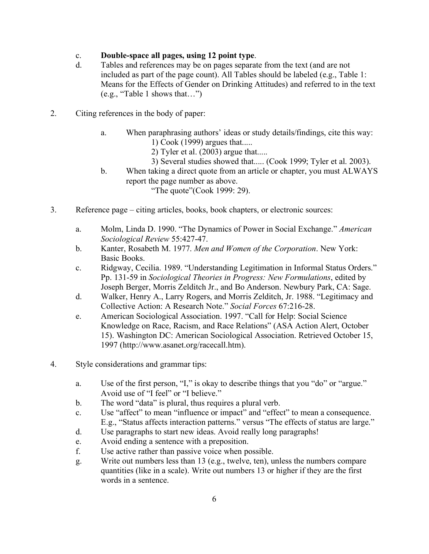## c. **Double-space all pages, using 12 point type**.

- d. Tables and references may be on pages separate from the text (and are not included as part of the page count). All Tables should be labeled (e.g., Table 1: Means for the Effects of Gender on Drinking Attitudes) and referred to in the text (e.g., "Table 1 shows that…")
- 2. Citing references in the body of paper:
	- a. When paraphrasing authors' ideas or study details/findings, cite this way: 1) Cook (1999) argues that.....
		- 2) Tyler et al. (2003) argue that.....
		- 3) Several studies showed that..... (Cook 1999; Tyler et al. 2003).
	- b. When taking a direct quote from an article or chapter, you must ALWAYS report the page number as above. "The quote" (Cook 1999: 29).
- 3. Reference page citing articles, books, book chapters, or electronic sources:
	- a. Molm, Linda D. 1990. "The Dynamics of Power in Social Exchange." *American Sociological Review* 55:427-47.
	- b. Kanter, Rosabeth M. 1977. *Men and Women of the Corporation*. New York: Basic Books.
	- c. Ridgway, Cecilia. 1989. "Understanding Legitimation in Informal Status Orders." Pp. 131-59 in *Sociological Theories in Progress: New Formulations*, edited by Joseph Berger, Morris Zelditch Jr., and Bo Anderson. Newbury Park, CA: Sage.
	- d. Walker, Henry A., Larry Rogers, and Morris Zelditch, Jr. 1988. "Legitimacy and Collective Action: A Research Note." *Social Forces* 67:216-28.
	- e. American Sociological Association. 1997. "Call for Help: Social Science Knowledge on Race, Racism, and Race Relations" (ASA Action Alert, October 15). Washington DC: American Sociological Association. Retrieved October 15, 1997 (http://www.asanet.org/racecall.htm).
- 4. Style considerations and grammar tips:
	- a. Use of the first person, "I," is okay to describe things that you "do" or "argue." Avoid use of "I feel" or "I believe."
	- b. The word "data" is plural, thus requires a plural verb.
	- c. Use "affect" to mean "influence or impact" and "effect" to mean a consequence. E.g., "Status affects interaction patterns." versus "The effects of status are large."
	- d. Use paragraphs to start new ideas. Avoid really long paragraphs!
	- e. Avoid ending a sentence with a preposition.
	- f. Use active rather than passive voice when possible.
	- g. Write out numbers less than 13 (e.g., twelve, ten), unless the numbers compare quantities (like in a scale). Write out numbers 13 or higher if they are the first words in a sentence.